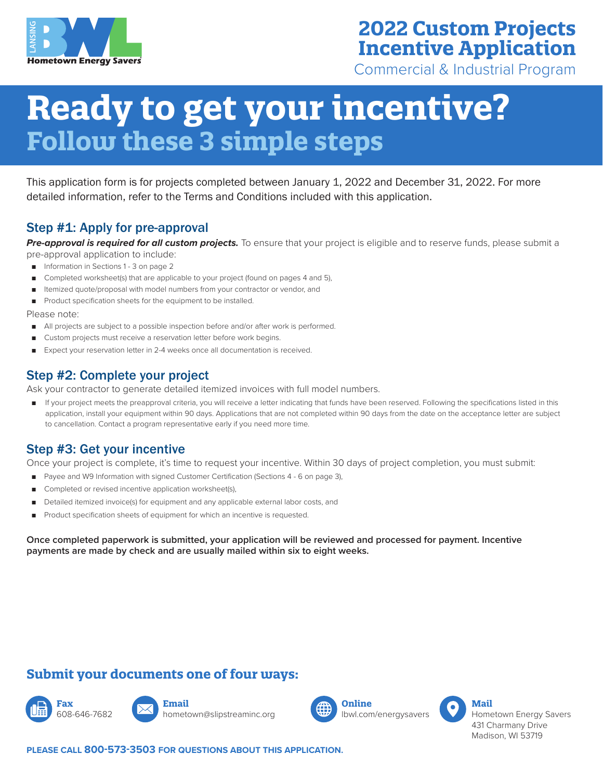

# **2022 Custom Projects Incentive Application**

Commercial & Industrial Program

# **Ready to get your incentive? Follow these 3 simple steps**

This application form is for projects completed between January 1, 2022 and December 31, 2022. For more detailed information, refer to the Terms and Conditions included with this application.

### Step #1: Apply for pre-approval

*Pre-approval is required for all custom projects.* To ensure that your project is eligible and to reserve funds, please submit a pre-approval application to include:

- Information in Sections 1 3 on page 2
- Completed worksheet(s) that are applicable to your project (found on pages 4 and 5),
- Itemized quote/proposal with model numbers from your contractor or vendor, and
- Product specification sheets for the equipment to be installed.

Please note:

- All projects are subject to a possible inspection before and/or after work is performed.
- Custom projects must receive a reservation letter before work begins.
- Expect your reservation letter in 2-4 weeks once all documentation is received.

## Step #2: Complete your project

Ask your contractor to generate detailed itemized invoices with full model numbers.

If your project meets the preapproval criteria, you will receive a letter indicating that funds have been reserved. Following the specifications listed in this application, install your equipment within 90 days. Applications that are not completed within 90 days from the date on the acceptance letter are subject to cancellation. Contact a program representative early if you need more time.

## Step #3: Get your incentive

Once your project is complete, it's time to request your incentive. Within 30 days of project completion, you must submit:

- Payee and W9 Information with signed Customer Certification (Sections 4 6 on page 3),
- Completed or revised incentive application worksheet(s),
- Detailed itemized invoice(s) for equipment and any applicable external labor costs, and
- Product specification sheets of equipment for which an incentive is requested.

**Once completed paperwork is submitted, your application will be reviewed and processed for payment. Incentive payments are made by check and are usually mailed within six to eight weeks.**

## **Submit your documents one of four ways:**





hometown@slipstreaminc.org



lbwl.com/energysavers



Hometown Energy Savers 431 Charmany Drive Madison, WI 53719

**PLEASE CALL 800-573-3503 FOR QUESTIONS ABOUT THIS APPLICATION.**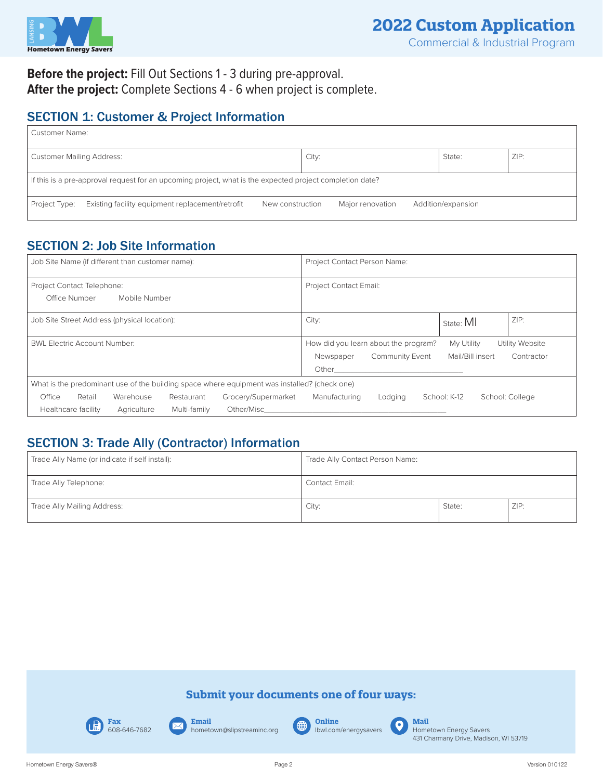

## **Before the project:** Fill Out Sections 1 - 3 during pre-approval. **After the project:** Complete Sections 4 - 6 when project is complete.

## SECTION 1: Customer & Project Information

| <b>Customer Name:</b>                                       |                                                                                                          |                  |  |                  |  |                    |  |  |  |
|-------------------------------------------------------------|----------------------------------------------------------------------------------------------------------|------------------|--|------------------|--|--------------------|--|--|--|
| ZIP:<br>City:<br><b>Customer Mailing Address:</b><br>State: |                                                                                                          |                  |  |                  |  |                    |  |  |  |
|                                                             | If this is a pre-approval request for an upcoming project, what is the expected project completion date? |                  |  |                  |  |                    |  |  |  |
| Project Type:                                               | Existing facility equipment replacement/retrofit                                                         | New construction |  | Major renovation |  | Addition/expansion |  |  |  |

## SECTION 2: Job Site Information

| Job Site Name (if different than customer name):                                             | Project Contact Person Name:                                                                                   |
|----------------------------------------------------------------------------------------------|----------------------------------------------------------------------------------------------------------------|
| Project Contact Telephone:                                                                   | <b>Project Contact Email:</b>                                                                                  |
| Office Number<br>Mobile Number                                                               |                                                                                                                |
| Job Site Street Address (physical location):                                                 | ZIP:<br>City:<br>State: MI                                                                                     |
| <b>BWL Electric Account Number:</b>                                                          | How did you learn about the program?<br>My Utility<br>Utility Website                                          |
|                                                                                              | Mail/Bill insert<br><b>Community Event</b><br>Newspaper<br>Contractor                                          |
|                                                                                              | Other than the contract of the contract of the contract of the contract of the contract of the contract of the |
| What is the predominant use of the building space where equipment was installed? (check one) |                                                                                                                |
| Office<br>Retail<br>Warehouse<br>Grocery/Supermarket<br>Restaurant                           | Manufacturing<br>School: K-12<br>School: College<br>Lodging                                                    |
| Other/Misc<br>Multi-family<br>Healthcare facility<br>Agriculture                             |                                                                                                                |

## SECTION 3: Trade Ally (Contractor) Information

| Trade Ally Name (or indicate if self install): | Trade Ally Contact Person Name: |        |      |
|------------------------------------------------|---------------------------------|--------|------|
| Trade Ally Telephone:                          | Contact Email:                  |        |      |
| Trade Ally Mailing Address:                    | City:                           | State: | ZIP: |

#### **Submit your documents one of four ways:**



**Email** hometown@slipstreaminc.org

 $\overline{\mathbf{\times}}$ 

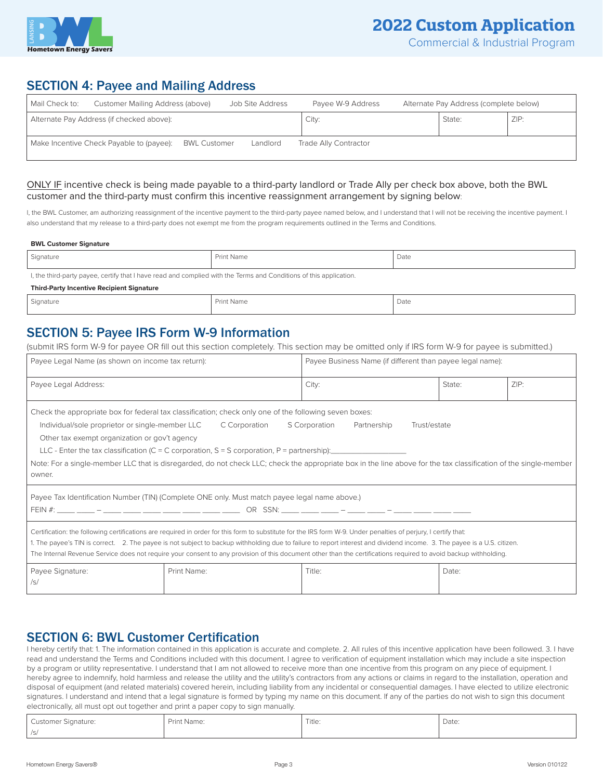

## **2022 Custom Application**

### SECTION 4: Payee and Mailing Address

| Mail Check to: | Customer Mailing Address (above)          |                     | Job Site Address | Payee W-9 Address     | Alternate Pay Address (complete below) |      |
|----------------|-------------------------------------------|---------------------|------------------|-----------------------|----------------------------------------|------|
|                | Alternate Pay Address (if checked above): |                     |                  | City:                 | State:                                 | ZIP: |
|                | Make Incentive Check Payable to (payee):  | <b>BWL Customer</b> | Landlord         | Trade Ally Contractor |                                        |      |

#### ONLY IF incentive check is being made payable to a third-party landlord or Trade Ally per check box above, both the BWL customer and the third-party must confirm this incentive reassignment arrangement by signing below:

I, the BWL Customer, am authorizing reassignment of the incentive payment to the third-party payee named below, and I understand that I will not be receiving the incentive payment. I also understand that my release to a third-party does not exempt me from the program requirements outlined in the Terms and Conditions.

#### **BWL Customer Signature**

| , Signature                                                                                                        | <b>Print Name</b> | Date |  |  |  |  |
|--------------------------------------------------------------------------------------------------------------------|-------------------|------|--|--|--|--|
| I, the third-party payee, certify that I have read and complied with the Terms and Conditions of this application. |                   |      |  |  |  |  |
| <b>Third-Party Incentive Recipient Signature</b>                                                                   |                   |      |  |  |  |  |

| $\sim$<br>Signature | Print<br>: Name | <b>STATISTICS</b><br>Date |
|---------------------|-----------------|---------------------------|
|                     |                 |                           |

## SECTION 5: Payee IRS Form W-9 Information

(submit IRS form W-9 for payee OR fill out this section completely. This section may be omitted only if IRS form W-9 for payee is submitted.)

| Payee Legal Name (as shown on income tax return):                                                                                                                                                                                                                                                                                                                                                                                                                                                                                                        |             | Payee Business Name (if different than payee legal name): |        |      |  |  |
|----------------------------------------------------------------------------------------------------------------------------------------------------------------------------------------------------------------------------------------------------------------------------------------------------------------------------------------------------------------------------------------------------------------------------------------------------------------------------------------------------------------------------------------------------------|-------------|-----------------------------------------------------------|--------|------|--|--|
| Payee Legal Address:                                                                                                                                                                                                                                                                                                                                                                                                                                                                                                                                     |             | City:                                                     | State: | ZIP: |  |  |
| Check the appropriate box for federal tax classification; check only one of the following seven boxes:<br>Individual/sole proprietor or single-member LLC<br>C Corporation<br>S Corporation<br>Partnership<br>Trust/estate<br>Other tax exempt organization or gov't agency<br>LLC - Enter the tax classification (C = C corporation, S = S corporation, P = partnership):<br>Note: For a single-member LLC that is disregarded, do not check LLC; check the appropriate box in the line above for the tax classification of the single-member<br>owner. |             |                                                           |        |      |  |  |
| Payee Tax Identification Number (TIN) (Complete ONE only. Must match payee legal name above.)                                                                                                                                                                                                                                                                                                                                                                                                                                                            |             |                                                           |        |      |  |  |
| Certification: the following certifications are required in order for this form to substitute for the IRS form W-9. Under penalties of perjury, I certify that:<br>1. The payee's TIN is correct. 2. The payee is not subject to backup withholding due to failure to report interest and dividend income. 3. The payee is a U.S. citizen.<br>The Internal Revenue Service does not require your consent to any provision of this document other than the certifications required to avoid backup withholding.                                           |             |                                                           |        |      |  |  |
| Payee Signature:<br>/s/                                                                                                                                                                                                                                                                                                                                                                                                                                                                                                                                  | Print Name: | Title:                                                    | Date:  |      |  |  |

#### SECTION 6: BWL Customer Certification

I hereby certify that: 1. The information contained in this application is accurate and complete. 2. All rules of this incentive application have been followed. 3. I have read and understand the Terms and Conditions included with this document. I agree to verification of equipment installation which may include a site inspection by a program or utility representative. I understand that I am not allowed to receive more than one incentive from this program on any piece of equipment. I hereby agree to indemnify, hold harmless and release the utility and the utility's contractors from any actions or claims in regard to the installation, operation and disposal of equipment (and related materials) covered herein, including liability from any incidental or consequential damages. I have elected to utilize electronic signatures. I understand and intend that a legal signature is formed by typing my name on this document. If any of the parties do not wish to sign this document electronically, all must opt out together and print a paper copy to sign manually.

| Customer Signature: | Print Name: | Title: | Date: |
|---------------------|-------------|--------|-------|
| $\sqrt{c}$          |             |        |       |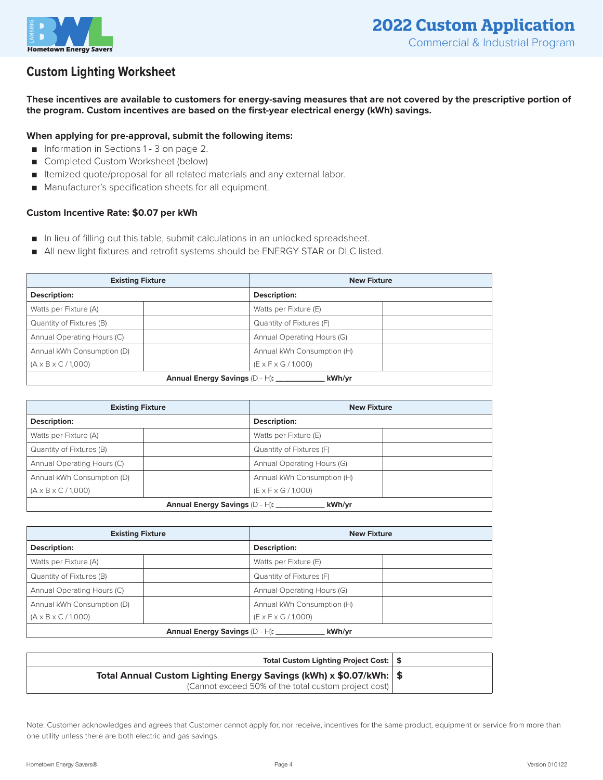

## **Custom Lighting Worksheet**

**These incentives are available to customers for energy-saving measures that are not covered by the prescriptive portion of the program. Custom incentives are based on the first-year electrical energy (kWh) savings.**

#### **When applying for pre-approval, submit the following items:**

- Information in Sections 1 3 on page 2.
- Completed Custom Worksheet (below)
- Itemized quote/proposal for all related materials and any external labor.
- Manufacturer's specification sheets for all equipment.

#### **Custom Incentive Rate: \$0.07 per kWh**

- In lieu of filling out this table, submit calculations in an unlocked spreadsheet.
- All new light fixtures and retrofit systems should be ENERGY STAR or DLC listed.

| <b>Existing Fixture</b>                  |  | <b>New Fixture</b>              |  |  |
|------------------------------------------|--|---------------------------------|--|--|
| Description:                             |  | Description:                    |  |  |
| Watts per Fixture (A)                    |  | Watts per Fixture (E)           |  |  |
| Quantity of Fixtures (B)                 |  | Quantity of Fixtures (F)        |  |  |
| Annual Operating Hours (C)               |  | Annual Operating Hours (G)      |  |  |
| Annual kWh Consumption (D)               |  | Annual kWh Consumption (H)      |  |  |
| $(A \times B \times C / 1,000)$          |  | $(E \times F \times G / 1,000)$ |  |  |
| kWh/yr<br>Annual Energy Savings (D - H): |  |                                 |  |  |

| <b>Existing Fixture</b>                  |  | <b>New Fixture</b>              |  |  |
|------------------------------------------|--|---------------------------------|--|--|
| Description:                             |  | <b>Description:</b>             |  |  |
| Watts per Fixture (A)                    |  | Watts per Fixture (E)           |  |  |
| Quantity of Fixtures (B)                 |  | Quantity of Fixtures (F)        |  |  |
| Annual Operating Hours (C)               |  | Annual Operating Hours (G)      |  |  |
| Annual kWh Consumption (D)               |  | Annual kWh Consumption (H)      |  |  |
| $(A \times B \times C / 1,000)$          |  | $(E \times F \times G / 1,000)$ |  |  |
| Annual Energy Savings (D - H):<br>kWh/yr |  |                                 |  |  |

| <b>Existing Fixture</b>                    |  | <b>New Fixture</b>              |  |  |
|--------------------------------------------|--|---------------------------------|--|--|
| Description:                               |  | Description:                    |  |  |
| Watts per Fixture (A)                      |  | Watts per Fixture (E)           |  |  |
| Quantity of Fixtures (B)                   |  | Quantity of Fixtures (F)        |  |  |
| Annual Operating Hours (C)                 |  | Annual Operating Hours (G)      |  |  |
| Annual kWh Consumption (D)                 |  | Annual kWh Consumption (H)      |  |  |
| $(A \times B \times C / 1,000)$            |  | $(E \times F \times G / 1,000)$ |  |  |
| kWh/yr<br>Annual Energy Savings (D - H): _ |  |                                 |  |  |

| Total Custom Lighting Project Cost:   \$                             |  |
|----------------------------------------------------------------------|--|
| Total Annual Custom Lighting Energy Savings (kWh) x \$0.07/kWh:   \$ |  |
| (Cannot exceed 50% of the total custom project cost)                 |  |

Note: Customer acknowledges and agrees that Customer cannot apply for, nor receive, incentives for the same product, equipment or service from more than one utility unless there are both electric and gas savings.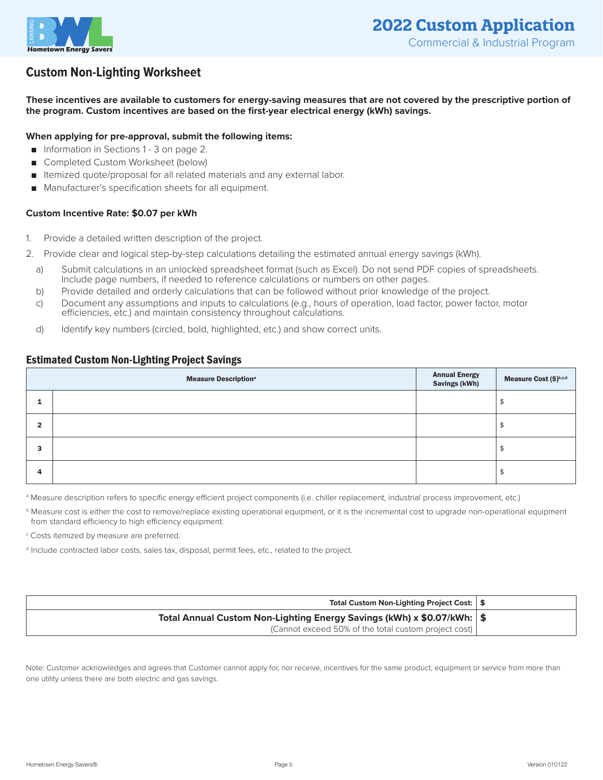

## **Custom Non-Lighting Worksheet**

**These incentives are available to customers for energy-saving measures that are not covered by the prescriptive portion of the program. Custom incentives are based on the first-year electrical energy (kWh) savings.**

#### **When applying for pre-approval, submit the following items:**

- Information in Sections 1 3 on page 2.
- Completed Custom Worksheet (below)
- Itemized quote/proposal for all related materials and any external labor.
- Manufacturer's specification sheets for all equipment.

#### **Custom Incentive Rate: \$0.07 per kWh**

- 1. Provide a detailed written description of the project.
- 2. Provide clear and logical step-by-step calculations detailing the estimated annual energy savings (kWh).
	- a) Submit calculations in an unlocked spreadsheet format (such as Excel). Do not send PDF copies of spreadsheets. Include page numbers, if needed to reference calculations or numbers on other pages.
	- b) Provide detailed and orderly calculations that can be followed without prior knowledge of the project.
	- c) Document any assumptions and inputs to calculations (e.g., hours of operation, load factor, power factor, motor efficiencies, etc.) and maintain consistency throughout calculations.
	- d) Identify key numbers (circled, bold, highlighted, etc.) and show correct units.

#### Estimated Custom Non-Lighting Project Savings

| <b>Measure Description</b> <sup>a</sup> |  | <b>Annual Energy<br/>Savings (kWh)</b> | Measure Cost (\$)b,c,d |
|-----------------------------------------|--|----------------------------------------|------------------------|
|                                         |  |                                        | Æ                      |
| 2                                       |  |                                        |                        |
| 3                                       |  |                                        | ъ                      |
| 4                                       |  |                                        | จ                      |

<sup>a</sup> Measure description refers to specific energy efficient project components (i.e. chiller replacement, industrial process improvement, etc.)

<sup>b</sup> Measure cost is either the cost to remove/replace existing operational equipment, or it is the incremental cost to upgrade non-operational equipment from standard efficiency to high efficiency equipment.

<sup>c</sup> Costs itemized by measure are preferred.

d Include contracted labor costs, sales tax, disposal, permit fees, etc., related to the project.

| Total Custom Non-Lighting Project Cost:   \$                             |  |
|--------------------------------------------------------------------------|--|
| Total Annual Custom Non-Lighting Energy Savings (kWh) x \$0.07/kWh:   \$ |  |
| (Cannot exceed 50% of the total custom project cost)                     |  |

Note: Customer acknowledges and agrees that Customer cannot apply for, nor receive, incentives for the same product, equipment or service from more than one utility unless there are both electric and gas savings.